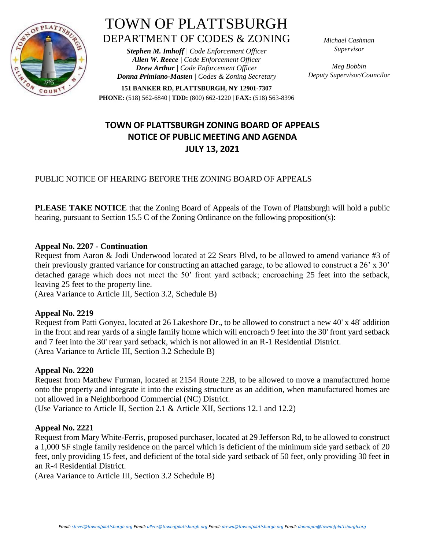

# TOWN OF PLATTSBURGH DEPARTMENT OF CODES & ZONING

*Stephen M. Imhoff | Code Enforcement Officer Allen W. Reece | Code Enforcement Officer Drew Arthur | Code Enforcement Officer Donna Primiano-Masten | Codes & Zoning Secretary* *Michael Cashman Supervisor*

*Meg Bobbin Deputy Supervisor/Councilor*

**151 BANKER RD, PLATTSBURGH, NY 12901-7307 PHONE:** (518) 562-6840 | **TDD:** (800) 662-1220 | **FAX:** (518) 563-8396

## **TOWN OF PLATTSBURGH ZONING BOARD OF APPEALS NOTICE OF PUBLIC MEETING AND AGENDA JULY 13, 2021**

### PUBLIC NOTICE OF HEARING BEFORE THE ZONING BOARD OF APPEALS

**PLEASE TAKE NOTICE** that the Zoning Board of Appeals of the Town of Plattsburgh will hold a public hearing, pursuant to Section 15.5 C of the Zoning Ordinance on the following proposition(s):

#### **Appeal No. 2207 - Continuation**

Request from Aaron & Jodi Underwood located at 22 Sears Blvd, to be allowed to amend variance #3 of their previously granted variance for constructing an attached garage, to be allowed to construct a 26' x 30' detached garage which does not meet the 50' front yard setback; encroaching 25 feet into the setback, leaving 25 feet to the property line.

(Area Variance to Article III, Section 3.2, Schedule B)

#### **Appeal No. 2219**

Request from Patti Gonyea, located at 26 Lakeshore Dr., to be allowed to construct a new 40' x 48' addition in the front and rear yards of a single family home which will encroach 9 feet into the 30' front yard setback and 7 feet into the 30' rear yard setback, which is not allowed in an R-1 Residential District. (Area Variance to Article III, Section 3.2 Schedule B)

#### **Appeal No. 2220**

Request from Matthew Furman, located at 2154 Route 22B, to be allowed to move a manufactured home onto the property and integrate it into the existing structure as an addition, when manufactured homes are not allowed in a Neighborhood Commercial (NC) District.

(Use Variance to Article II, Section 2.1 & Article XII, Sections 12.1 and 12.2)

#### **Appeal No. 2221**

Request from Mary White-Ferris, proposed purchaser, located at 29 Jefferson Rd, to be allowed to construct a 1,000 SF single family residence on the parcel which is deficient of the minimum side yard setback of 20 feet, only providing 15 feet, and deficient of the total side yard setback of 50 feet, only providing 30 feet in an R-4 Residential District.

(Area Variance to Article III, Section 3.2 Schedule B)